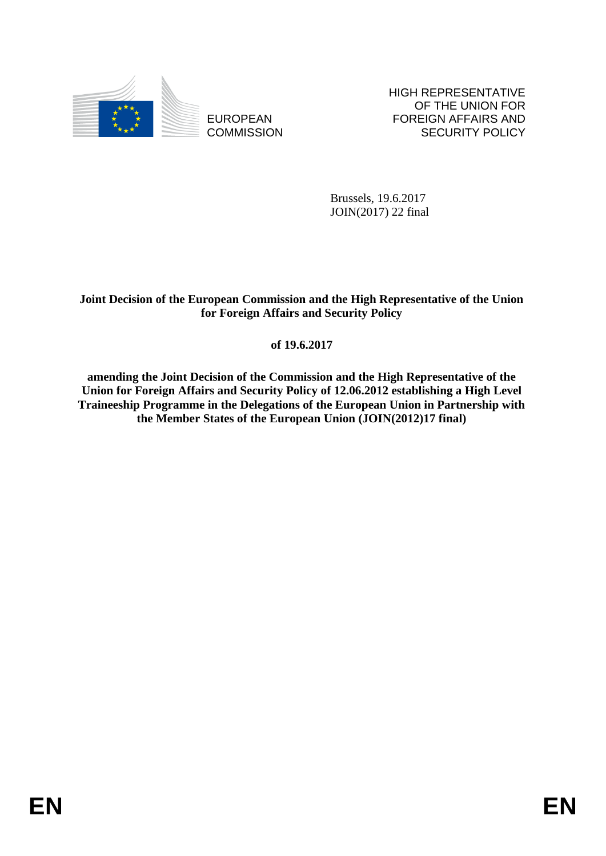

EUROPEAN **COMMISSION**  HIGH REPRESENTATIVE OF THE UNION FOR FOREIGN AFFAIRS AND SECURITY POLICY

Brussels, 19.6.2017 JOIN(2017) 22 final

# **Joint Decision of the European Commission and the High Representative of the Union for Foreign Affairs and Security Policy**

# **of 19.6.2017**

**amending the Joint Decision of the Commission and the High Representative of the Union for Foreign Affairs and Security Policy of 12.06.2012 establishing a High Level Traineeship Programme in the Delegations of the European Union in Partnership with the Member States of the European Union (JOIN(2012)17 final)**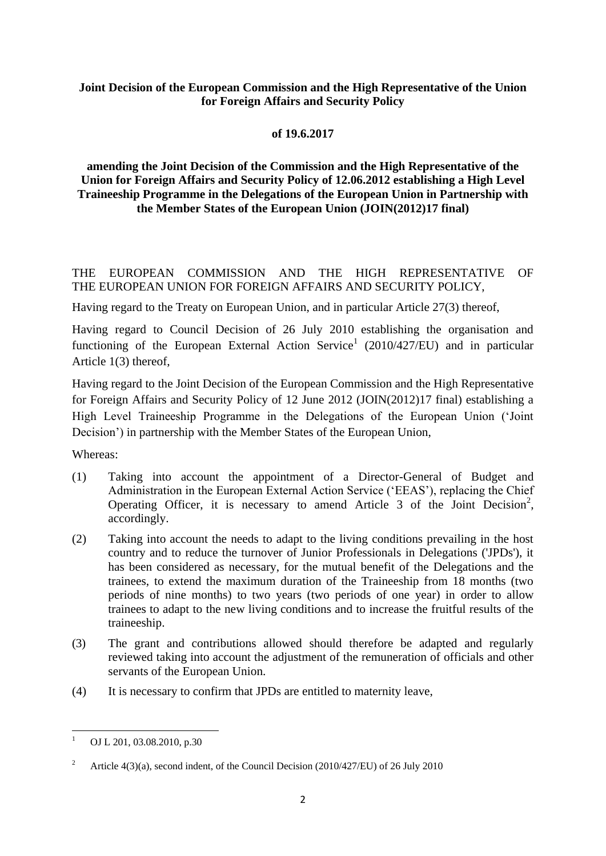### **Joint Decision of the European Commission and the High Representative of the Union for Foreign Affairs and Security Policy**

### **of 19.6.2017**

## **amending the Joint Decision of the Commission and the High Representative of the Union for Foreign Affairs and Security Policy of 12.06.2012 establishing a High Level Traineeship Programme in the Delegations of the European Union in Partnership with the Member States of the European Union (JOIN(2012)17 final)**

THE EUROPEAN COMMISSION AND THE HIGH REPRESENTATIVE OF THE EUROPEAN UNION FOR FOREIGN AFFAIRS AND SECURITY POLICY,

Having regard to the Treaty on European Union, and in particular Article 27(3) thereof,

Having regard to Council Decision of 26 July 2010 establishing the organisation and functioning of the European External Action Service<sup>1</sup> (2010/427/EU) and in particular Article 1(3) thereof,

Having regard to the Joint Decision of the European Commission and the High Representative for Foreign Affairs and Security Policy of 12 June 2012 (JOIN(2012)17 final) establishing a High Level Traineeship Programme in the Delegations of the European Union ('Joint Decision') in partnership with the Member States of the European Union,

Whereas:

- (1) Taking into account the appointment of a Director-General of Budget and Administration in the European External Action Service ('EEAS'), replacing the Chief Operating Officer, it is necessary to amend Article 3 of the Joint Decision<sup>2</sup>, accordingly.
- (2) Taking into account the needs to adapt to the living conditions prevailing in the host country and to reduce the turnover of Junior Professionals in Delegations ('JPDs'), it has been considered as necessary, for the mutual benefit of the Delegations and the trainees, to extend the maximum duration of the Traineeship from 18 months (two periods of nine months) to two years (two periods of one year) in order to allow trainees to adapt to the new living conditions and to increase the fruitful results of the traineeship.
- (3) The grant and contributions allowed should therefore be adapted and regularly reviewed taking into account the adjustment of the remuneration of officials and other servants of the European Union.
- (4) It is necessary to confirm that JPDs are entitled to maternity leave,

<sup>1</sup> OJ L 201, 03.08.2010, p.30

<sup>&</sup>lt;sup>2</sup> Article 4(3)(a), second indent, of the Council Decision (2010/427/EU) of 26 July 2010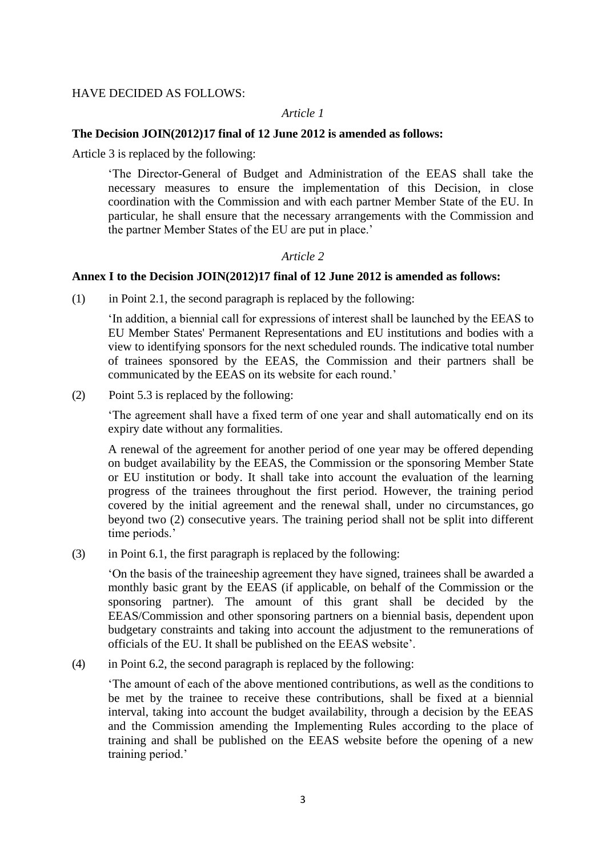### HAVE DECIDED AS FOLLOWS:

#### *Article 1*

### **The Decision JOIN(2012)17 final of 12 June 2012 is amended as follows:**

Article 3 is replaced by the following:

'The Director-General of Budget and Administration of the EEAS shall take the necessary measures to ensure the implementation of this Decision, in close coordination with the Commission and with each partner Member State of the EU. In particular, he shall ensure that the necessary arrangements with the Commission and the partner Member States of the EU are put in place.'

### *Article 2*

### **Annex I to the Decision JOIN(2012)17 final of 12 June 2012 is amended as follows:**

(1) in Point 2.1, the second paragraph is replaced by the following:

'In addition, a biennial call for expressions of interest shall be launched by the EEAS to EU Member States' Permanent Representations and EU institutions and bodies with a view to identifying sponsors for the next scheduled rounds. The indicative total number of trainees sponsored by the EEAS, the Commission and their partners shall be communicated by the EEAS on its website for each round.'

(2) Point 5.3 is replaced by the following:

'The agreement shall have a fixed term of one year and shall automatically end on its expiry date without any formalities.

A renewal of the agreement for another period of one year may be offered depending on budget availability by the EEAS, the Commission or the sponsoring Member State or EU institution or body. It shall take into account the evaluation of the learning progress of the trainees throughout the first period. However, the training period covered by the initial agreement and the renewal shall, under no circumstances, go beyond two (2) consecutive years. The training period shall not be split into different time periods.'

 $(3)$  in Point 6.1, the first paragraph is replaced by the following:

'On the basis of the traineeship agreement they have signed, trainees shall be awarded a monthly basic grant by the EEAS (if applicable, on behalf of the Commission or the sponsoring partner). The amount of this grant shall be decided by the EEAS/Commission and other sponsoring partners on a biennial basis, dependent upon budgetary constraints and taking into account the adjustment to the remunerations of officials of the EU. It shall be published on the EEAS website'.

(4) in Point 6.2, the second paragraph is replaced by the following:

'The amount of each of the above mentioned contributions, as well as the conditions to be met by the trainee to receive these contributions, shall be fixed at a biennial interval, taking into account the budget availability, through a decision by the EEAS and the Commission amending the Implementing Rules according to the place of training and shall be published on the EEAS website before the opening of a new training period.'